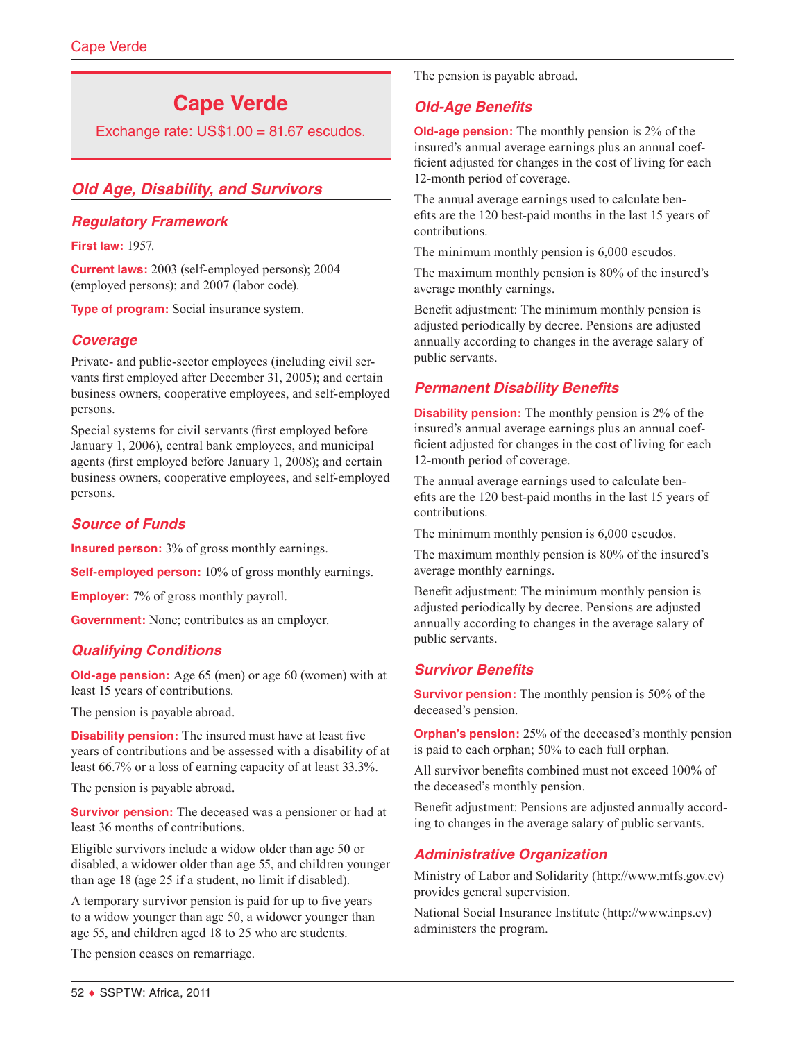# **Cape Verde**

Exchange rate:  $US$1.00 = 81.67$  escudos.

# *Old Age, Disability, and Survivors*

### *Regulatory Framework*

**First law:** 1957.

**Current laws:** 2003 (self-employed persons); 2004 (employed persons); and 2007 (labor code).

**Type of program:** Social insurance system.

# *Coverage*

Private- and public-sector employees (including civil servants first employed after December 31, 2005); and certain business owners, cooperative employees, and self-employed persons.

Special systems for civil servants (first employed before January 1, 2006), central bank employees, and municipal agents (first employed before January 1, 2008); and certain business owners, cooperative employees, and self-employed persons.

# *Source of Funds*

**Insured person:** 3% of gross monthly earnings.

**Self-employed person:** 10% of gross monthly earnings.

**Employer:** 7% of gross monthly payroll.

**Government:** None; contributes as an employer.

# *Qualifying Conditions*

**Old-age pension:** Age 65 (men) or age 60 (women) with at least 15 years of contributions.

The pension is payable abroad.

**Disability pension:** The insured must have at least five years of contributions and be assessed with a disability of at least 66.7% or a loss of earning capacity of at least 33.3%.

The pension is payable abroad.

**Survivor pension:** The deceased was a pensioner or had at least 36 months of contributions.

Eligible survivors include a widow older than age 50 or disabled, a widower older than age 55, and children younger than age 18 (age 25 if a student, no limit if disabled).

A temporary survivor pension is paid for up to five years to a widow younger than age 50, a widower younger than age 55, and children aged 18 to 25 who are students.

The pension ceases on remarriage.

The pension is payable abroad.

### *Old-Age Benefits*

**Old-age pension:** The monthly pension is 2% of the insured's annual average earnings plus an annual coefficient adjusted for changes in the cost of living for each 12-month period of coverage.

The annual average earnings used to calculate benefits are the 120 best-paid months in the last 15 years of contributions.

The minimum monthly pension is 6,000 escudos.

The maximum monthly pension is 80% of the insured's average monthly earnings.

Benefit adjustment: The minimum monthly pension is adjusted periodically by decree. Pensions are adjusted annually according to changes in the average salary of public servants.

# *Permanent Disability Benefits*

**Disability pension:** The monthly pension is 2% of the insured's annual average earnings plus an annual coefficient adjusted for changes in the cost of living for each 12-month period of coverage.

The annual average earnings used to calculate benefits are the 120 best-paid months in the last 15 years of contributions.

The minimum monthly pension is 6,000 escudos.

The maximum monthly pension is 80% of the insured's average monthly earnings.

Benefit adjustment: The minimum monthly pension is adjusted periodically by decree. Pensions are adjusted annually according to changes in the average salary of public servants.

# *Survivor Benefits*

**Survivor pension:** The monthly pension is 50% of the deceased's pension.

**Orphan's pension:** 25% of the deceased's monthly pension is paid to each orphan; 50% to each full orphan.

All survivor benefits combined must not exceed 100% of the deceased's monthly pension.

Benefit adjustment: Pensions are adjusted annually according to changes in the average salary of public servants.

# *Administrative Organization*

Ministry of Labor and Solidarity (<http://www.mtfs.gov.cv>) provides general supervision.

National Social Insurance Institute (<http://www.inps.cv>) administers the program.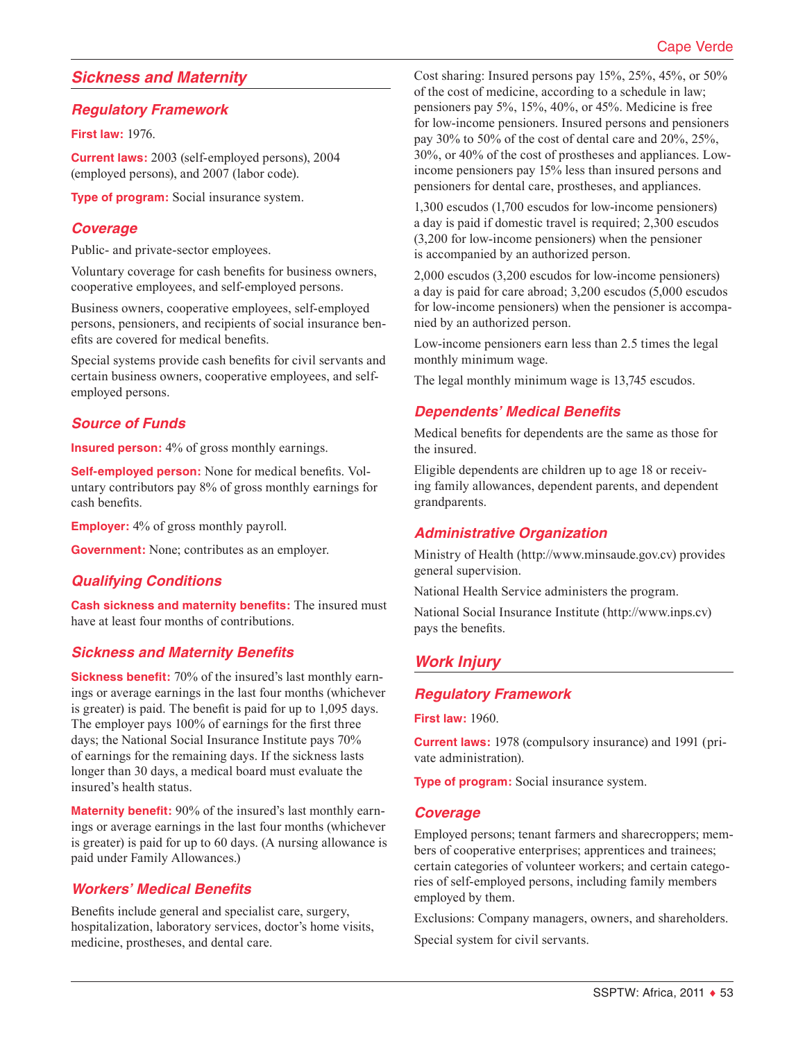# *Sickness and Maternity*

### *Regulatory Framework*

**First law:** 1976.

**Current laws:** 2003 (self-employed persons), 2004 (employed persons), and 2007 (labor code).

**Type of program:** Social insurance system.

### *Coverage*

Public- and private-sector employees.

Voluntary coverage for cash benefits for business owners, cooperative employees, and self-employed persons.

Business owners, cooperative employees, self-employed persons, pensioners, and recipients of social insurance benefits are covered for medical benefits.

Special systems provide cash benefits for civil servants and certain business owners, cooperative employees, and selfemployed persons.

### *Source of Funds*

**Insured person:** 4% of gross monthly earnings.

**Self-employed person:** None for medical benefits. Voluntary contributors pay 8% of gross monthly earnings for cash benefits.

**Employer:** 4% of gross monthly payroll.

**Government:** None; contributes as an employer.

### *Qualifying Conditions*

**Cash sickness and maternity benefits:** The insured must have at least four months of contributions.

### *Sickness and Maternity Benefits*

**Sickness benefit:** 70% of the insured's last monthly earnings or average earnings in the last four months (whichever is greater) is paid. The benefit is paid for up to 1,095 days. The employer pays 100% of earnings for the first three days; the National Social Insurance Institute pays 70% of earnings for the remaining days. If the sickness lasts longer than 30 days, a medical board must evaluate the insured's health status.

**Maternity benefit:** 90% of the insured's last monthly earnings or average earnings in the last four months (whichever is greater) is paid for up to 60 days. (A nursing allowance is paid under Family Allowances.)

### *Workers' Medical Benefits*

Benefits include general and specialist care, surgery, hospitalization, laboratory services, doctor's home visits, medicine, prostheses, and dental care.

Cost sharing: Insured persons pay 15%, 25%, 45%, or 50% of the cost of medicine, according to a schedule in law; pensioners pay 5%, 15%, 40%, or 45%. Medicine is free for low-income pensioners. Insured persons and pensioners pay 30% to 50% of the cost of dental care and 20%, 25%, 30%, or 40% of the cost of prostheses and appliances. Lowincome pensioners pay 15% less than insured persons and pensioners for dental care, prostheses, and appliances.

1,300 escudos (1,700 escudos for low-income pensioners) a day is paid if domestic travel is required; 2,300 escudos (3,200 for low-income pensioners) when the pensioner is accompanied by an authorized person.

2,000 escudos (3,200 escudos for low-income pensioners) a day is paid for care abroad; 3,200 escudos (5,000 escudos for low-income pensioners) when the pensioner is accompanied by an authorized person.

Low-income pensioners earn less than 2.5 times the legal monthly minimum wage.

The legal monthly minimum wage is 13,745 escudos.

# *Dependents' Medical Benefits*

Medical benefits for dependents are the same as those for the insured.

Eligible dependents are children up to age 18 or receiving family allowances, dependent parents, and dependent grandparents.

### *Administrative Organization*

Ministry of Health (<http://www.minsaude.gov.cv>) provides general supervision.

National Health Service administers the program.

National Social Insurance Institute (<http://www.inps.cv>) pays the benefits.

# *Work Injury*

#### *Regulatory Framework*

**First law:** 1960.

**Current laws:** 1978 (compulsory insurance) and 1991 (private administration).

**Type of program:** Social insurance system.

#### *Coverage*

Employed persons; tenant farmers and sharecroppers; members of cooperative enterprises; apprentices and trainees; certain categories of volunteer workers; and certain categories of self-employed persons, including family members employed by them.

Exclusions: Company managers, owners, and shareholders.

Special system for civil servants.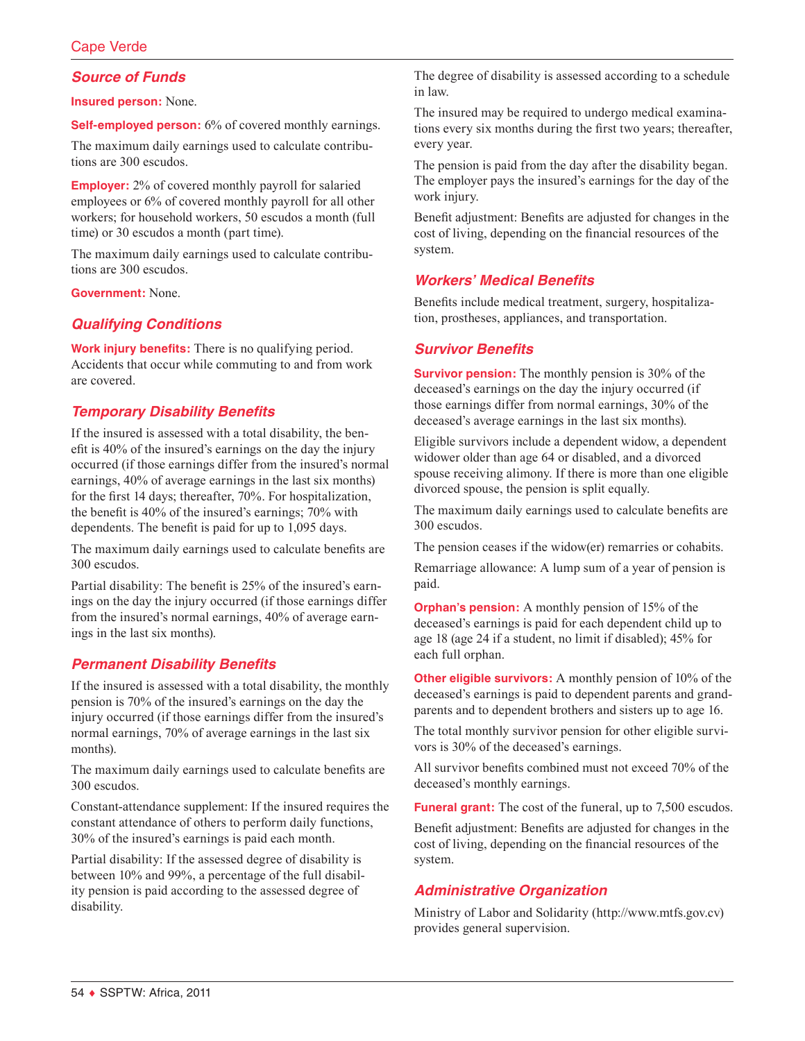# *Source of Funds*

**Insured person:** None.

**Self-employed person:** 6% of covered monthly earnings.

The maximum daily earnings used to calculate contributions are 300 escudos.

**Employer:** 2% of covered monthly payroll for salaried employees or 6% of covered monthly payroll for all other workers; for household workers, 50 escudos a month (full time) or 30 escudos a month (part time).

The maximum daily earnings used to calculate contributions are 300 escudos.

**Government:** None.

# *Qualifying Conditions*

**Work injury benefits:** There is no qualifying period. Accidents that occur while commuting to and from work are covered.

### *Temporary Disability Benefits*

If the insured is assessed with a total disability, the benefit is 40% of the insured's earnings on the day the injury occurred (if those earnings differ from the insured's normal earnings, 40% of average earnings in the last six months) for the first 14 days; thereafter, 70%. For hospitalization, the benefit is 40% of the insured's earnings; 70% with dependents. The benefit is paid for up to 1,095 days.

The maximum daily earnings used to calculate benefits are 300 escudos.

Partial disability: The benefit is 25% of the insured's earnings on the day the injury occurred (if those earnings differ from the insured's normal earnings, 40% of average earnings in the last six months).

### *Permanent Disability Benefits*

If the insured is assessed with a total disability, the monthly pension is 70% of the insured's earnings on the day the injury occurred (if those earnings differ from the insured's normal earnings, 70% of average earnings in the last six months).

The maximum daily earnings used to calculate benefits are 300 escudos.

Constant-attendance supplement: If the insured requires the constant attendance of others to perform daily functions, 30% of the insured's earnings is paid each month.

Partial disability: If the assessed degree of disability is between 10% and 99%, a percentage of the full disability pension is paid according to the assessed degree of disability.

The degree of disability is assessed according to a schedule in law.

The insured may be required to undergo medical examinations every six months during the first two years; thereafter, every year.

The pension is paid from the day after the disability began. The employer pays the insured's earnings for the day of the work injury.

Benefit adjustment: Benefits are adjusted for changes in the cost of living, depending on the financial resources of the system.

### *Workers' Medical Benefits*

Benefits include medical treatment, surgery, hospitalization, prostheses, appliances, and transportation.

#### *Survivor Benefits*

**Survivor pension:** The monthly pension is 30% of the deceased's earnings on the day the injury occurred (if those earnings differ from normal earnings, 30% of the deceased's average earnings in the last six months).

Eligible survivors include a dependent widow, a dependent widower older than age 64 or disabled, and a divorced spouse receiving alimony. If there is more than one eligible divorced spouse, the pension is split equally.

The maximum daily earnings used to calculate benefits are 300 escudos.

The pension ceases if the widow(er) remarries or cohabits.

Remarriage allowance: A lump sum of a year of pension is paid.

**Orphan's pension:** A monthly pension of 15% of the deceased's earnings is paid for each dependent child up to age 18 (age 24 if a student, no limit if disabled); 45% for each full orphan.

**Other eligible survivors:** A monthly pension of 10% of the deceased's earnings is paid to dependent parents and grandparents and to dependent brothers and sisters up to age 16.

The total monthly survivor pension for other eligible survivors is 30% of the deceased's earnings.

All survivor benefits combined must not exceed 70% of the deceased's monthly earnings.

**Funeral grant:** The cost of the funeral, up to 7,500 escudos.

Benefit adjustment: Benefits are adjusted for changes in the cost of living, depending on the financial resources of the system.

### *Administrative Organization*

Ministry of Labor and Solidarity (<http://www.mtfs.gov.cv>) provides general supervision.